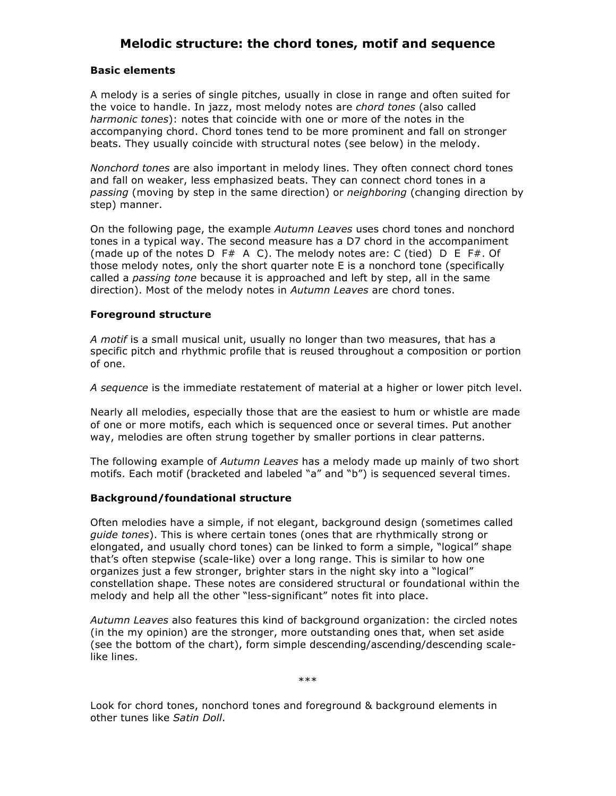# **Melodic structure: the chord tones, motif and sequence**

## **Basic elements**

A melody is a series of single pitches, usually in close in range and often suited for the voice to handle. In jazz, most melody notes are *chord tones* (also called *harmonic tones*): notes that coincide with one or more of the notes in the accompanying chord. Chord tones tend to be more prominent and fall on stronger beats. They usually coincide with structural notes (see below) in the melody.

*Nonchord tones* are also important in melody lines. They often connect chord tones and fall on weaker, less emphasized beats. They can connect chord tones in a *passing* (moving by step in the same direction) or *neighboring* (changing direction by step) manner.

On the following page, the example *Autumn Leaves* uses chord tones and nonchord tones in a typical way. The second measure has a D7 chord in the accompaniment (made up of the notes  $D$  F# A C). The melody notes are: C (tied)  $D$  E F#. Of those melody notes, only the short quarter note E is a nonchord tone (specifically called a *passing tone* because it is approached and left by step, all in the same direction). Most of the melody notes in *Autumn Leaves* are chord tones.

# **Foreground structure**

*A motif* is a small musical unit, usually no longer than two measures, that has a specific pitch and rhythmic profile that is reused throughout a composition or portion of one.

*A sequence* is the immediate restatement of material at a higher or lower pitch level.

Nearly all melodies, especially those that are the easiest to hum or whistle are made of one or more motifs, each which is sequenced once or several times. Put another way, melodies are often strung together by smaller portions in clear patterns.

The following example of *Autumn Leaves* has a melody made up mainly of two short motifs. Each motif (bracketed and labeled "a" and "b") is sequenced several times.

# **Background/foundational structure**

Often melodies have a simple, if not elegant, background design (sometimes called *guide tones*). This is where certain tones (ones that are rhythmically strong or elongated, and usually chord tones) can be linked to form a simple, "logical" shape that's often stepwise (scale-like) over a long range. This is similar to how one organizes just a few stronger, brighter stars in the night sky into a "logical" constellation shape. These notes are considered structural or foundational within the melody and help all the other "less-significant" notes fit into place.

*Autumn Leaves* also features this kind of background organization: the circled notes (in the my opinion) are the stronger, more outstanding ones that, when set aside (see the bottom of the chart), form simple descending/ascending/descending scalelike lines.

\*\*\*

Look for chord tones, nonchord tones and foreground & background elements in other tunes like *Satin Doll*.